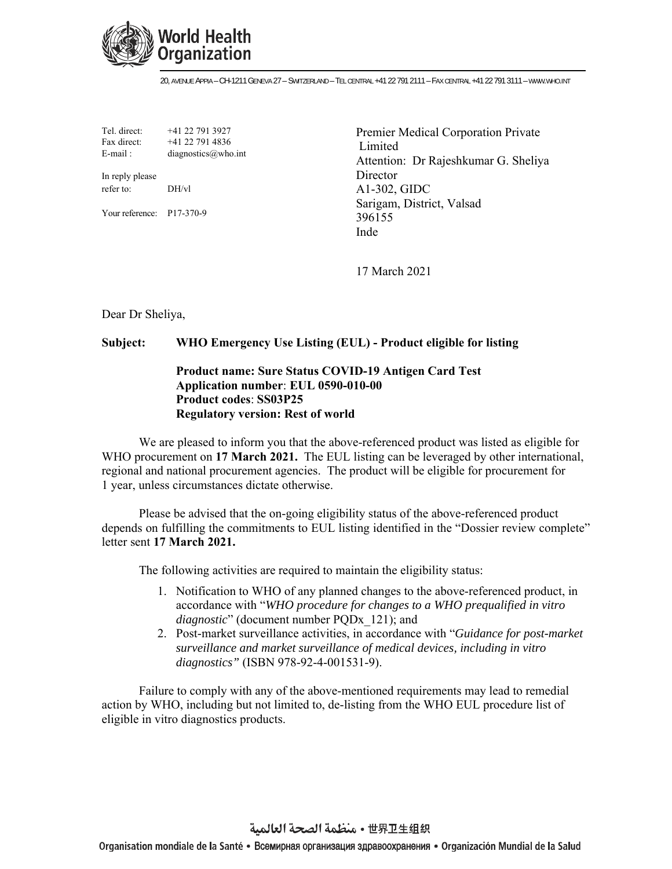

20, AVENUE APPIA – CH-1211 GENEVA 27 – SWITZERLAND – TEL CENTRAL +41 22 791 2111 – FAX CENTRAL +41 22 791 3111 – WWW.WHO.INT

Tel. direct: +41 22 791 3927 Fax direct: +41 22 791 4836 E-mail : diagnostics  $\omega$  who.int

In reply please refer to: DH/vl

Your reference: P17-370-9

Premier Medical Corporation Private Limited Attention: Dr Rajeshkumar G. Sheliya **Director** A1-302, GIDC Sarigam, District, Valsad 396155 Inde

17 March 2021

Dear Dr Sheliya,

## **Subject: WHO Emergency Use Listing (EUL) - Product eligible for listing**

## **Product name: Sure Status COVID-19 Antigen Card Test Application number**: **EUL 0590-010-00 Product codes**: **SS03P25 Regulatory version: Rest of world**

We are pleased to inform you that the above-referenced product was listed as eligible for WHO procurement on **17 March 2021.** The EUL listing can be leveraged by other international, regional and national procurement agencies. The product will be eligible for procurement for 1 year, unless circumstances dictate otherwise.

Please be advised that the on-going eligibility status of the above-referenced product depends on fulfilling the commitments to EUL listing identified in the "Dossier review complete" letter sent **17 March 2021.**

The following activities are required to maintain the eligibility status:

- 1. Notification to WHO of any planned changes to the above-referenced product, in accordance with "*WHO procedure for changes to a WHO prequalified in vitro diagnostic*" (document number PQDx\_121); and
- 2. Post-market surveillance activities, in accordance with "*Guidance for post-market surveillance and market surveillance of medical devices, including in vitro diagnostics"* (ISBN 978-92-4-001531-9).

Failure to comply with any of the above-mentioned requirements may lead to remedial action by WHO, including but not limited to, de-listing from the WHO EUL procedure list of eligible in vitro diagnostics products.